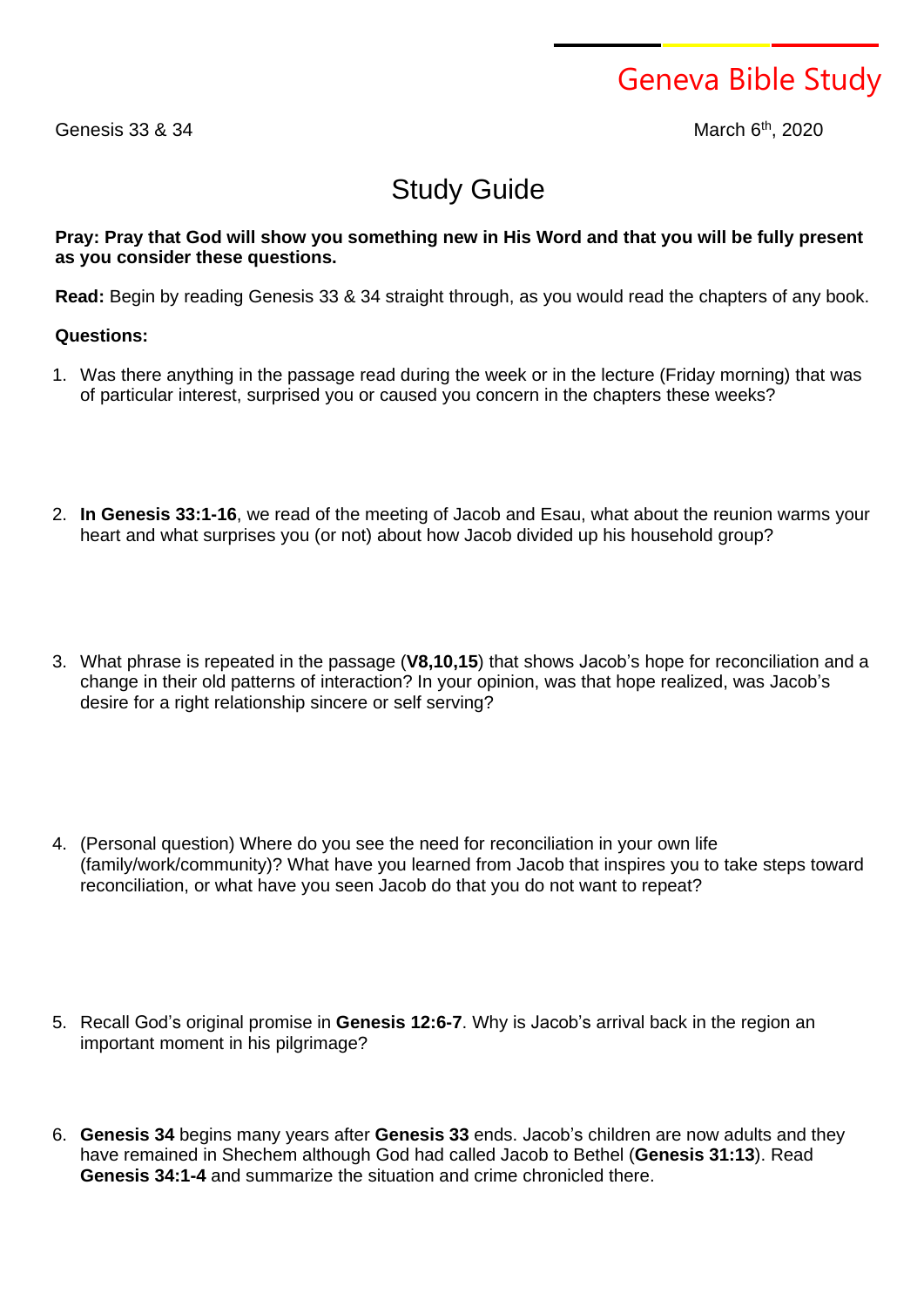Geneva Bible Study

Genesis  $33$   $8$   $34$ 

th , 2020

## Study Guide

## Pray: Pray that God will show you something new in His Word and that you will be fully present **as you consider these questions.**

**Read:** Begin by reading Genesis 33 & 34 straight through, as you would read the chapters of any book.

## **Questions:**

- 1. Was there anything in the passage read during the week or in the lecture (Friday morning) that was of particular interest, surprised you or caused you concern in the chapters these weeks?
- 2. **In Genesis 33:1-16**, we read of the meeting of Jacob and Esau, what about the reunion warms your heart and what surprises you (or not) about how Jacob divided up his household group?
- 3. What phrase is repeated in the passage (**V8,10,15**) that shows Jacob's hope for reconciliation and a change in their old patterns of interaction? In your opinion, was that hope realized, was Jacob's desire for a right relationship sincere or self serving?
- 4. (Personal question) Where do you see the need for reconciliation in your own life (family/work/community)? What have you learned from Jacob that inspires you to take steps toward reconciliation, or what have you seen Jacob do that you do not want to repeat?
- 5. Recall God's original promise in **Genesis 12:6-7**. Why is Jacob's arrival back in the region an important moment in his pilgrimage?
- 6. **Genesis 34** begins many years after **Genesis 33** ends. Jacob's children are now adults and they have remained in Shechem although God had called Jacob to Bethel (**Genesis 31:13**). Read **Genesis 34:1-4** and summarize the situation and crime chronicled there.